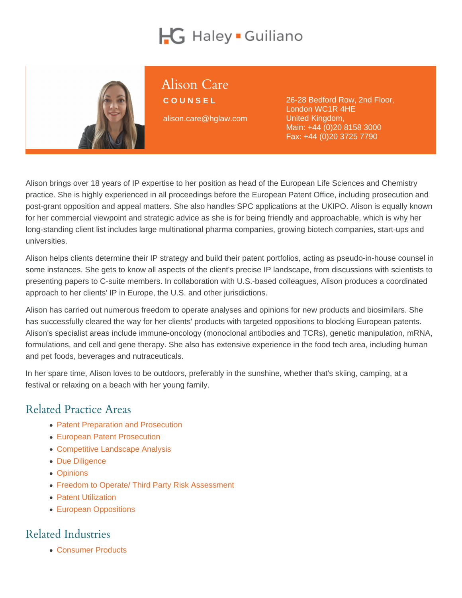# Alison Care

**COUNSEL** 

alison.care@hglaw.com

26-28 Bedford Row, 2nd Floor, London WC1R 4HE United Kingdom, Main: [+44 \(0\)20 8158 3000](tel:+1-+44 (0)20 8158 3000) Fax: +44 (0)20 3725 7790

Alison brings over 18 years of IP expertise to her position as head of the European Life Sciences and Chemistry practice. She is highly experienced in all proceedings before the European Patent Office, including prosecution and post-grant opposition and appeal matters. She also handles SPC applications at the UKIPO. Alison is equally known for her commercial viewpoint and strategic advice as she is for being friendly and approachable, which is why her long-standing client list includes large multinational pharma companies, growing biotech companies, start-ups and universities.

Alison helps clients determine their IP strategy and build their patent portfolios, acting as pseudo-in-house counsel in some instances. She gets to know all aspects of the client's precise IP landscape, from discussions with scientists to presenting papers to C-suite members. In collaboration with U.S.-based colleagues, Alison produces a coordinated approach to her clients' IP in Europe, the U.S. and other jurisdictions.

Alison has carried out numerous freedom to operate analyses and opinions for new products and biosimilars. She has successfully cleared the way for her clients' products with targeted oppositions to blocking European patents. Alison's specialist areas include immune-oncology (monoclonal antibodies and TCRs), genetic manipulation, mRNA, formulations, and cell and gene therapy. She also has extensive experience in the food tech area, including human and pet foods, beverages and nutraceuticals.

In her spare time, Alison loves to be outdoors, preferably in the sunshine, whether that's skiing, camping, at a festival or relaxing on a beach with her young family.

## Related Practice Areas

- [Patent Preparation and Prosecution](https://www.hglaw.com/practice-areas/patents/patent-preparation-prosecution/)
- [European Patent Prosecution](https://www.hglaw.com/practice-areas/patents/european-patent-prosecution/)
- [Competitive Landscape Analysis](https://www.hglaw.com/practice-areas/strategic-counseling/competitive-landscape-analysis/)
- [Due Diligence](https://www.hglaw.com/practice-areas/strategic-counseling/due-diligence/)
- [Opinions](https://www.hglaw.com/practice-areas/strategic-counseling/opinions/)
- [Freedom to Operate/ Third Party Risk Assessment](https://www.hglaw.com/practice-areas/strategic-counseling/freedom-to-operate-third-party-risk-assessment/)
- [Patent Utilization](https://www.hglaw.com/practice-areas/strategic-counseling/patent-utilization/)
- [European Oppositions](https://www.hglaw.com/practice-areas/contested-proceedings/european-oppositions/)

#### Related Industries

[Consumer Products](https://www.hglaw.com/industries/consumer-products/)